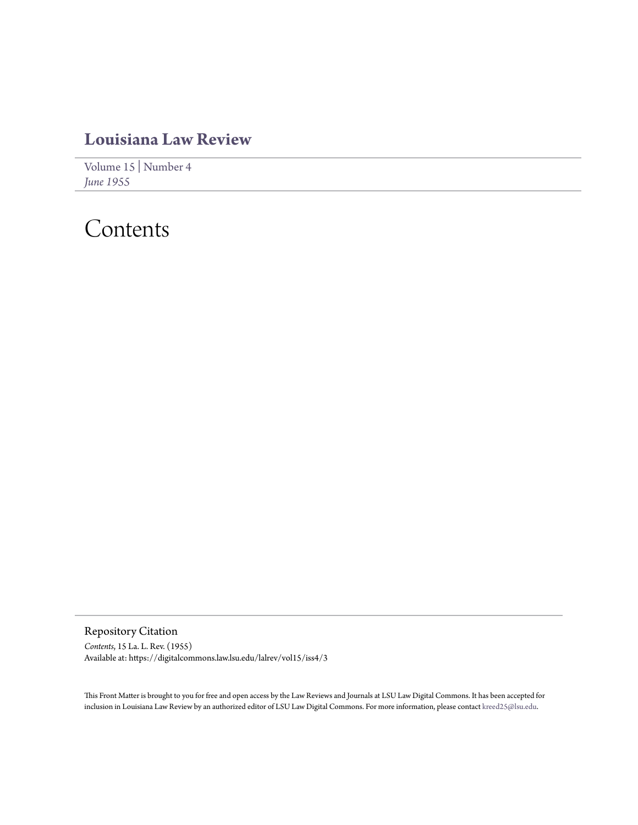## **[Louisiana Law Review](https://digitalcommons.law.lsu.edu/lalrev)**

[Volume 15](https://digitalcommons.law.lsu.edu/lalrev/vol15) | [Number 4](https://digitalcommons.law.lsu.edu/lalrev/vol15/iss4) *[June 1955](https://digitalcommons.law.lsu.edu/lalrev/vol15/iss4)*

# Contents

Repository Citation *Contents*, 15 La. L. Rev. (1955) Available at: https://digitalcommons.law.lsu.edu/lalrev/vol15/iss4/3

This Front Matter is brought to you for free and open access by the Law Reviews and Journals at LSU Law Digital Commons. It has been accepted for inclusion in Louisiana Law Review by an authorized editor of LSU Law Digital Commons. For more information, please contact [kreed25@lsu.edu](mailto:kreed25@lsu.edu).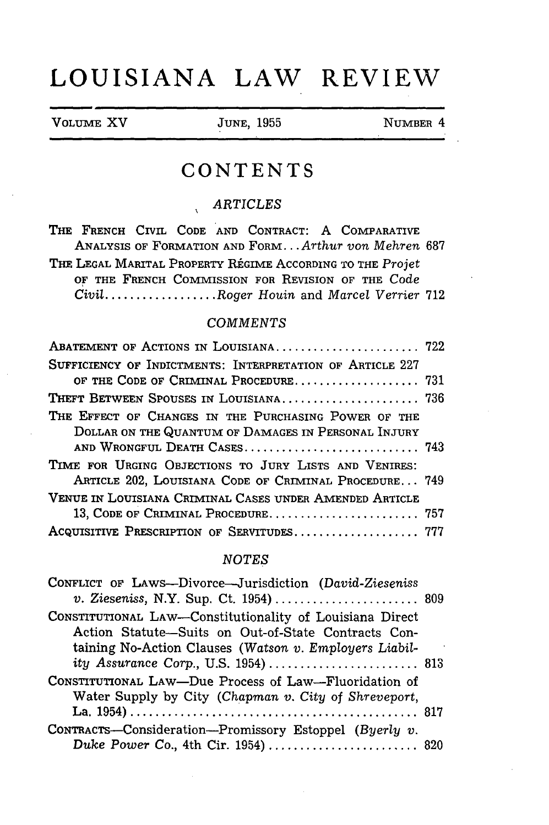## **LOUISIANA LAW REVIEW**

| VOLUME XV | <b>JUNE, 1955</b> | NUMBER 4 |
|-----------|-------------------|----------|
|           |                   |          |

## **CONTENTS**

### *ARTICLES*

THE FRENCH CIVIL CODE AND CONTRACT: A COMPARATIVE ANALYSIS OF FORMATION AND FORM... *Arthur von Mehren* 687 THE LEGAL MARITAL PROPERTY REGIME ACCORDING TO THE *Projet* OF THE FRENCH COMMISSION FOR REVISION OF THE Code *Civil* .................. *Roger Houin* and *Marcel Verrier* 712

#### *COMMENTS*

| ABATEMENT OF ACTIONS IN LOUISIANA 722                 |
|-------------------------------------------------------|
|                                                       |
| OF THE CODE OF CRIMINAL PROCEDURE 731                 |
|                                                       |
|                                                       |
|                                                       |
| AND WRONGFUL DEATH CASES 743                          |
|                                                       |
| ARTICLE 202, LOUISIANA CODE OF CRIMINAL PROCEDURE 749 |
|                                                       |
|                                                       |
| ACQUISITIVE PRESCRIPTION OF SERVITUDES 777            |
|                                                       |

#### *NOTES*

| CONFLICT OF LAWS-Divorce-Jurisdiction (David-Zieseniss<br>v. Zieseniss, N.Y. Sup. Ct. 1954)  809 |  |
|--------------------------------------------------------------------------------------------------|--|
| CONSTITUTIONAL LAW-Constitutionality of Louisiana Direct                                         |  |
| Action Statute-Suits on Out-of-State Contracts Con-                                              |  |
| taining No-Action Clauses (Watson v. Employers Liabil-                                           |  |
| ity Assurance Corp., U.S. 1954)  813                                                             |  |
| CONSTITUTIONAL LAW-Due Process of Law-Fluoridation of                                            |  |
| Water Supply by City (Chapman v. City of Shreveport,                                             |  |
|                                                                                                  |  |
| CONTRACTS-Consideration-Promissory Estoppel (Byerly $v$ .                                        |  |
| Duke Power Co., 4th Cir. 1954)  820                                                              |  |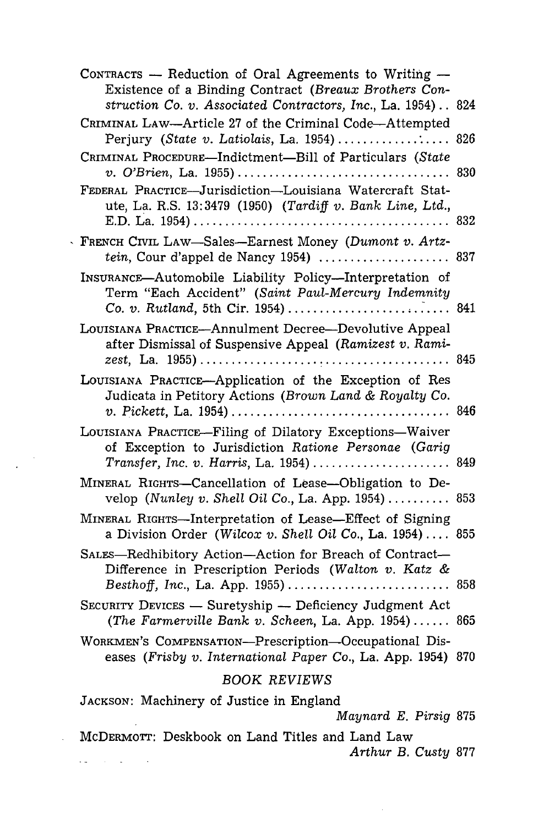|                     | CONTRACTS $-$ Reduction of Oral Agreements to Writing $-$<br>Existence of a Binding Contract (Breaux Brothers Con-    |  |
|---------------------|-----------------------------------------------------------------------------------------------------------------------|--|
|                     | struction Co. v. Associated Contractors, Inc., La. 1954) 824                                                          |  |
|                     | CRIMINAL LAW-Article 27 of the Criminal Code-Attempted                                                                |  |
|                     | CRIMINAL PROCEDURE-Indictment-Bill of Particulars (State                                                              |  |
|                     | FEDERAL PRACTICE-Jurisdiction-Louisiana Watercraft Stat-<br>ute, La. R.S. 13:3479 (1950) (Tardiff v. Bank Line, Ltd., |  |
|                     | FRENCH CIVIL LAW—Sales—Earnest Money (Dumont v. Artz-<br>tein, Cour d'appel de Nancy 1954)  837                       |  |
|                     | INSURANCE-Automobile Liability Policy-Interpretation of<br>Term "Each Accident" (Saint Paul-Mercury Indemnity         |  |
|                     | LOUISIANA PRACTICE-Annulment Decree-Devolutive Appeal<br>after Dismissal of Suspensive Appeal (Ramizest v. Rami-      |  |
|                     | LOUISIANA PRACTICE-Application of the Exception of Res<br>Judicata in Petitory Actions (Brown Land & Royalty Co.      |  |
|                     | LOUISIANA PRACTICE-Filing of Dilatory Exceptions-Waiver<br>of Exception to Jurisdiction Ratione Personae (Garig       |  |
|                     | MINERAL RIGHTS-Cancellation of Lease-Obligation to De-<br>velop (Nunley v. Shell Oil Co., La. App. 1954) 853          |  |
|                     | MINERAL RIGHTS-Interpretation of Lease-Effect of Signing<br>a Division Order (Wilcox v. Shell Oil Co., La. 1954) 855  |  |
|                     | SALES-Redhibitory Action-Action for Breach of Contract-<br>Difference in Prescription Periods (Walton v. Katz &       |  |
|                     | SECURITY DEVICES - Suretyship - Deficiency Judgment Act<br>(The Farmerville Bank v. Scheen, La. App. 1954) 865        |  |
|                     | WORKMEN'S COMPENSATION-Prescription-Occupational Dis-<br>eases (Frisby v. International Paper Co., La. App. 1954) 870 |  |
| <b>BOOK REVIEWS</b> |                                                                                                                       |  |
|                     | JACKSON: Machinery of Justice in England<br>Maynard E. Pirsig 875                                                     |  |
|                     |                                                                                                                       |  |

 $\sim$  $\mathbb{Z}$ 

 $\mathcal{L}^{(1)}$ 

MCDERMOTr: Deskbook on Land Titles and Land Law *Arthur B. Custy* 877 $\mathbf{v}(\mathbf{u}) = \mathbf{v}(\mathbf{v} - \mathbf{u})$  , where

 $\sim$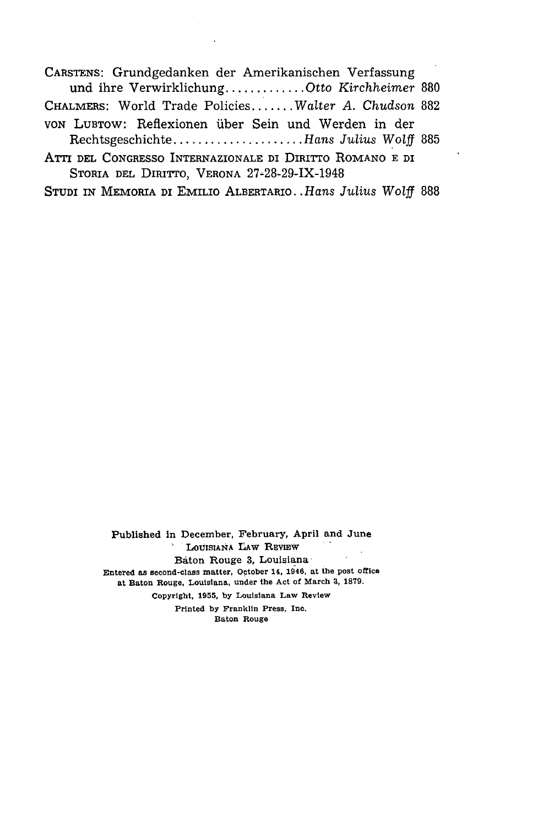**CARSTENS:** Grundgedanken der Amerikanischen Verfassung und ihre Verwirklichung ............. Otto *Kirchheimer* <sup>880</sup> CHALMERS: World Trade Policies....... *Walter A. Chudson* <sup>882</sup> von Lubrow: Reflexionen über Sein und Werden in der Rechtsgeschichte ..................... *Hans Julius* Wolff 885

ATTI **DEL CONGRESSO** INTERNAZIONALE DI **DIRiTTO** ROMANO **E** DI STORIA **DEL DIRITTO,** VERONA 27-28-29-IX-1948

STUDI IN MEMORIA DI EMILIo ALBERTARIO.. *Hans Julius Wolff* <sup>888</sup>

Published in December, February, April and June LOUISIANA LAW REVIEW Baton Rouge **3,** Louisiana-Entered as second-class matter, October 14, **1946,** at the post office at Baton Rouge, Louisiana, under the Act of March **3, 1879.** Copyright, **1955, by** Louisiana Law Review Printed **by** Franklin Press, Inc.

Baton Rouge